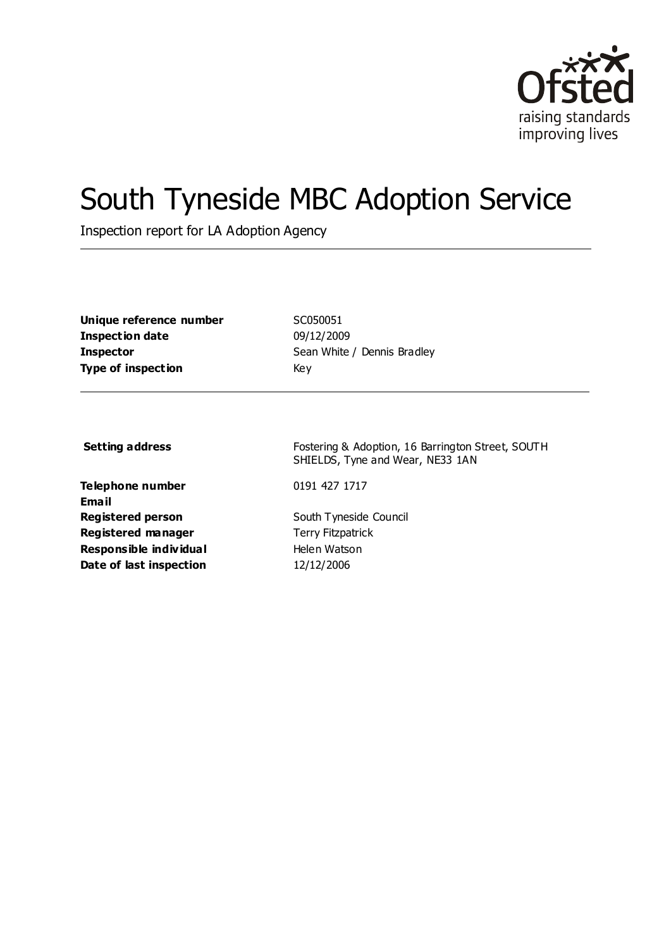

# South Tyneside MBC Adoption Service

Inspection report for LA Adoption Agency

| Unique reference number   | <b>SCC</b> |
|---------------------------|------------|
| Inspection date           | 09/        |
| Inspector                 | Sea        |
| <b>Type of inspection</b> | Key        |

**Unique reference number** SC050051 **Inspection date** 09/12/2009 **Sean White / Dennis Bradley** 

**Telephone number** 0191 427 1717 **Email Registered person** South Tyneside Council **Registered manager** Terry Fitzpatrick **Responsible individual** Helen Watson **Date of last inspection** 12/12/2006

**Setting address** Fostering & Adoption, 16 Barrington Street, SOUTH SHIELDS, Tyne and Wear, NE33 1AN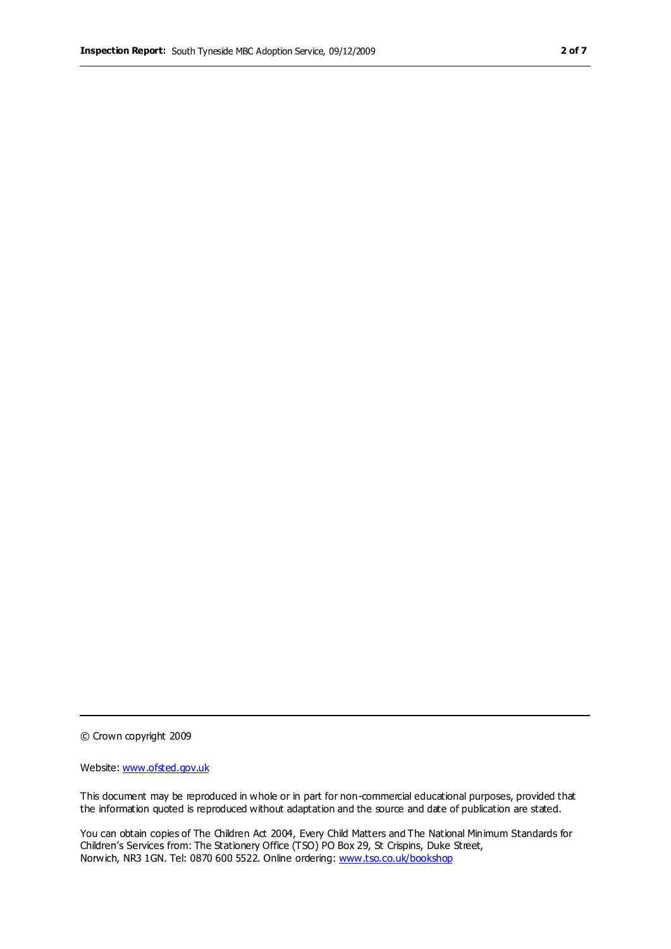© Crown copyright 2009

Website: www.ofsted.gov.uk

This document may be reproduced in whole or in part for non-commercial educational purposes, provided that the information quoted is reproduced without adaptation and the source and date of publication are stated.

You can obtain copies of The Children Act 2004, Every Child Matters and The National Minimum Standards for Children's Services from: The Stationery Office (TSO) PO Box 29, St Crispins, Duke Street, Norwich, NR3 1GN. Tel: 0870 600 5522. Online ordering: www.tso.co.uk/bookshop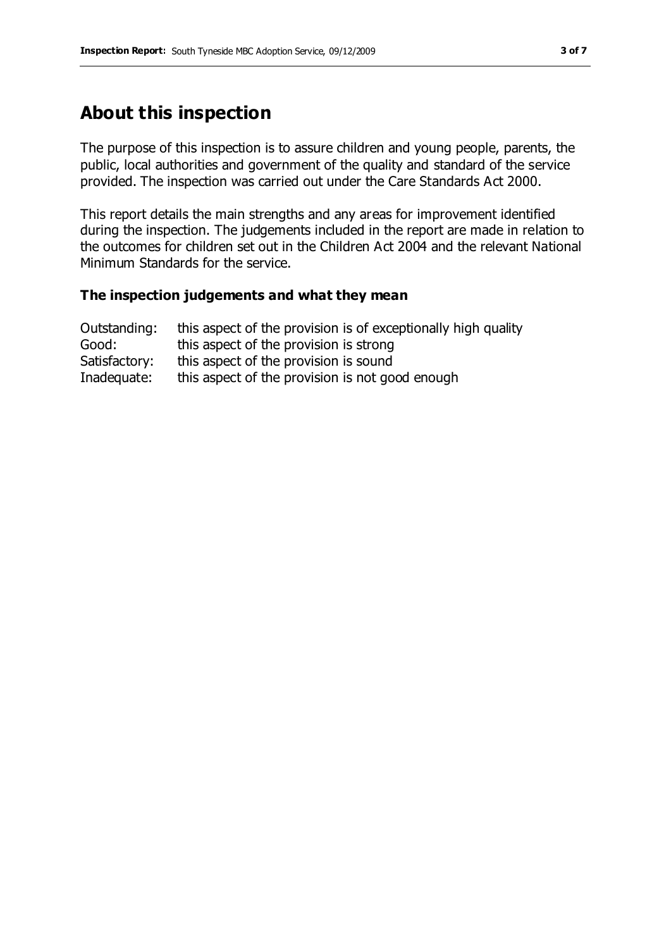# **About this inspection**

The purpose of this inspection is to assure children and young people, parents, the public, local authorities and government of the quality and standard of the service provided. The inspection was carried out under the Care Standards Act 2000.

This report details the main strengths and any areas for improvement identified during the inspection. The judgements included in the report are made in relation to the outcomes for children set out in the Children Act 2004 and the relevant National Minimum Standards for the service.

#### **The inspection judgements and what they mean**

| Outstanding:  | this aspect of the provision is of exceptionally high quality |
|---------------|---------------------------------------------------------------|
| Good:         | this aspect of the provision is strong                        |
| Satisfactory: | this aspect of the provision is sound                         |
| Inadequate:   | this aspect of the provision is not good enough               |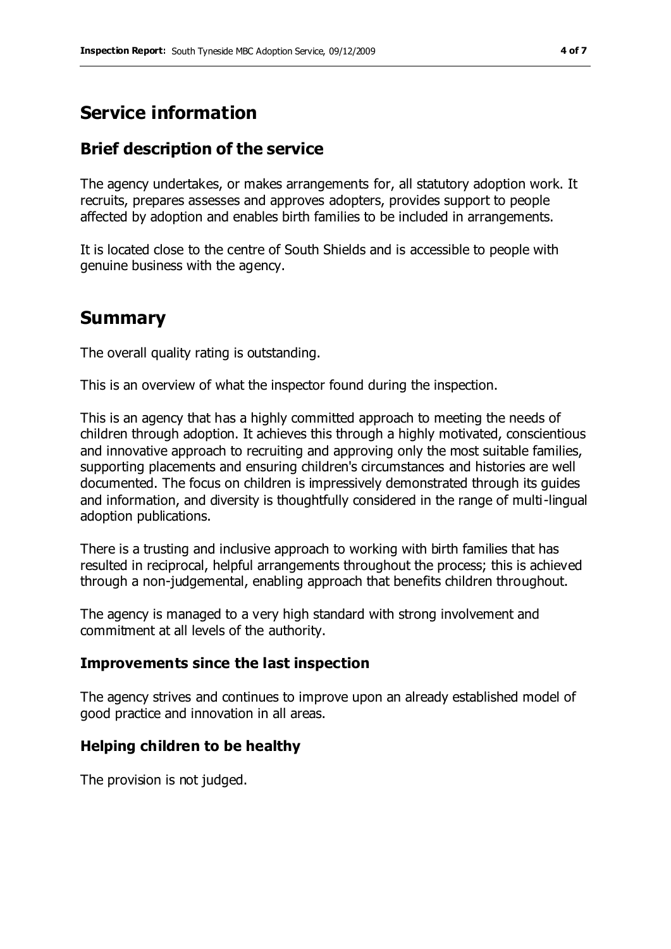# **Service information**

## **Brief description of the service**

The agency undertakes, or makes arrangements for, all statutory adoption work. It recruits, prepares assesses and approves adopters, provides support to people affected by adoption and enables birth families to be included in arrangements.

It is located close to the centre of South Shields and is accessible to people with genuine business with the agency.

# **Summary**

The overall quality rating is outstanding.

This is an overview of what the inspector found during the inspection.

This is an agency that has a highly committed approach to meeting the needs of children through adoption. It achieves this through a highly motivated, conscientious and innovative approach to recruiting and approving only the most suitable families, supporting placements and ensuring children's circumstances and histories are well documented. The focus on children is impressively demonstrated through its guides and information, and diversity is thoughtfully considered in the range of multi-lingual adoption publications.

There is a trusting and inclusive approach to working with birth families that has resulted in reciprocal, helpful arrangements throughout the process; this is achieved through a non-judgemental, enabling approach that benefits children throughout.

The agency is managed to a very high standard with strong involvement and commitment at all levels of the authority.

#### **Improvements since the last inspection**

The agency strives and continues to improve upon an already established model of good practice and innovation in all areas.

## **Helping children to be healthy**

The provision is not judged.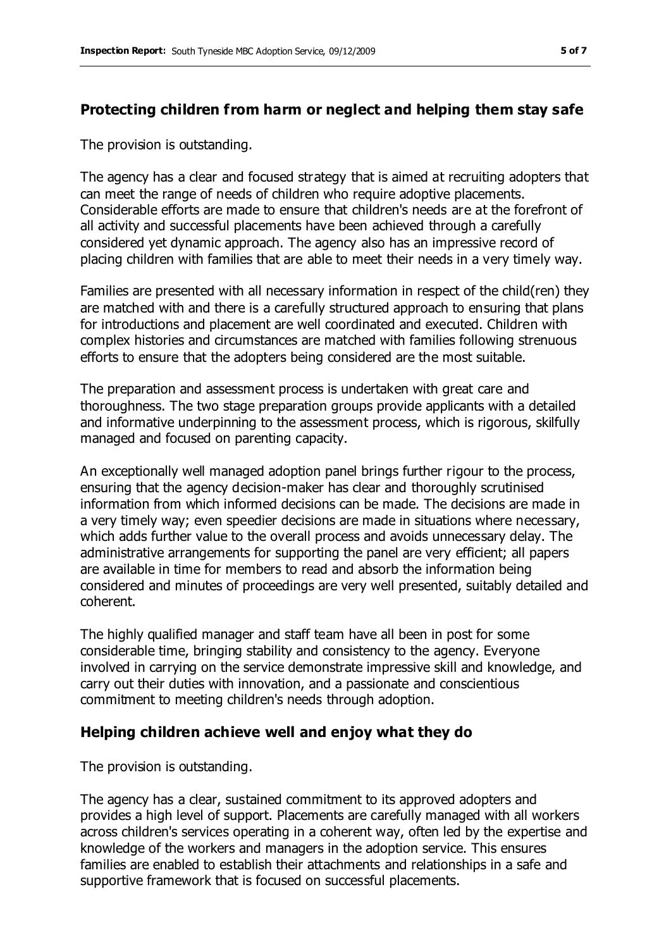## **Protecting children from harm or neglect and helping them stay safe**

The provision is outstanding.

The agency has a clear and focused strategy that is aimed at recruiting adopters that can meet the range of needs of children who require adoptive placements. Considerable efforts are made to ensure that children's needs are at the forefront of all activity and successful placements have been achieved through a carefully considered yet dynamic approach. The agency also has an impressive record of placing children with families that are able to meet their needs in a very timely way.

Families are presented with all necessary information in respect of the child(ren) they are matched with and there is a carefully structured approach to ensuring that plans for introductions and placement are well coordinated and executed. Children with complex histories and circumstances are matched with families following strenuous efforts to ensure that the adopters being considered are the most suitable.

The preparation and assessment process is undertaken with great care and thoroughness. The two stage preparation groups provide applicants with a detailed and informative underpinning to the assessment process, which is rigorous, skilfully managed and focused on parenting capacity.

An exceptionally well managed adoption panel brings further rigour to the process, ensuring that the agency decision-maker has clear and thoroughly scrutinised information from which informed decisions can be made. The decisions are made in a very timely way; even speedier decisions are made in situations where necessary, which adds further value to the overall process and avoids unnecessary delay. The administrative arrangements for supporting the panel are very efficient; all papers are available in time for members to read and absorb the information being considered and minutes of proceedings are very well presented, suitably detailed and coherent.

The highly qualified manager and staff team have all been in post for some considerable time, bringing stability and consistency to the agency. Everyone involved in carrying on the service demonstrate impressive skill and knowledge, and carry out their duties with innovation, and a passionate and conscientious commitment to meeting children's needs through adoption.

#### **Helping children achieve well and enjoy what they do**

The provision is outstanding.

The agency has a clear, sustained commitment to its approved adopters and provides a high level of support. Placements are carefully managed with all workers across children's services operating in a coherent way, often led by the expertise and knowledge of the workers and managers in the adoption service. This ensures families are enabled to establish their attachments and relationships in a safe and supportive framework that is focused on successful placements.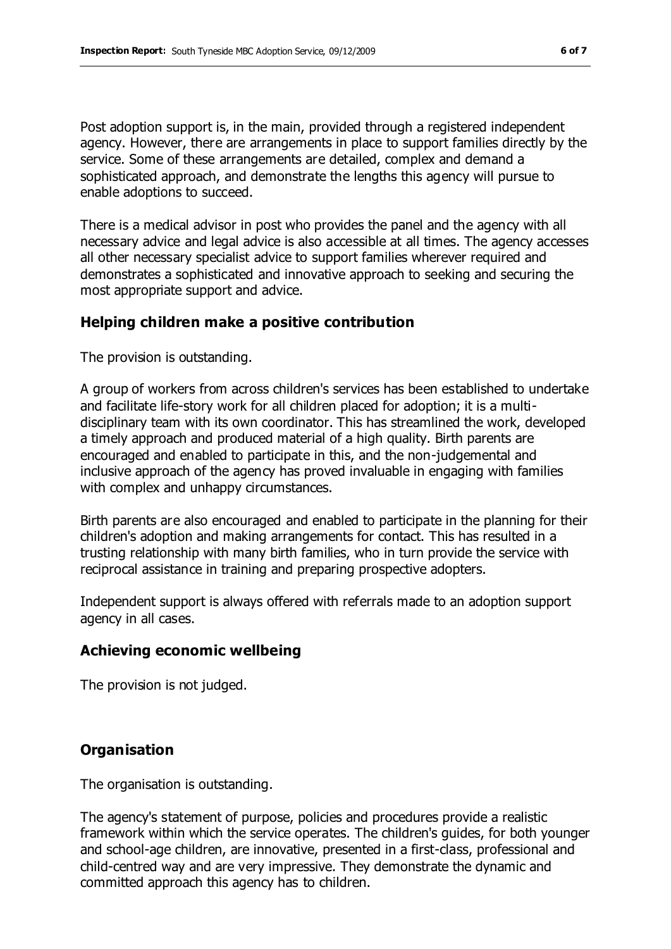Post adoption support is, in the main, provided through a registered independent agency. However, there are arrangements in place to support families directly by the service. Some of these arrangements are detailed, complex and demand a sophisticated approach, and demonstrate the lengths this agency will pursue to enable adoptions to succeed.

There is a medical advisor in post who provides the panel and the agency with all necessary advice and legal advice is also accessible at all times. The agency accesses all other necessary specialist advice to support families wherever required and demonstrates a sophisticated and innovative approach to seeking and securing the most appropriate support and advice.

#### **Helping children make a positive contribution**

The provision is outstanding.

A group of workers from across children's services has been established to undertake and facilitate life-story work for all children placed for adoption; it is a multidisciplinary team with its own coordinator. This has streamlined the work, developed a timely approach and produced material of a high quality. Birth parents are encouraged and enabled to participate in this, and the non-judgemental and inclusive approach of the agency has proved invaluable in engaging with families with complex and unhappy circumstances.

Birth parents are also encouraged and enabled to participate in the planning for their children's adoption and making arrangements for contact. This has resulted in a trusting relationship with many birth families, who in turn provide the service with reciprocal assistance in training and preparing prospective adopters.

Independent support is always offered with referrals made to an adoption support agency in all cases.

## **Achieving economic wellbeing**

The provision is not judged.

## **Organisation**

The organisation is outstanding.

The agency's statement of purpose, policies and procedures provide a realistic framework within which the service operates. The children's guides, for both younger and school-age children, are innovative, presented in a first-class, professional and child-centred way and are very impressive. They demonstrate the dynamic and committed approach this agency has to children.